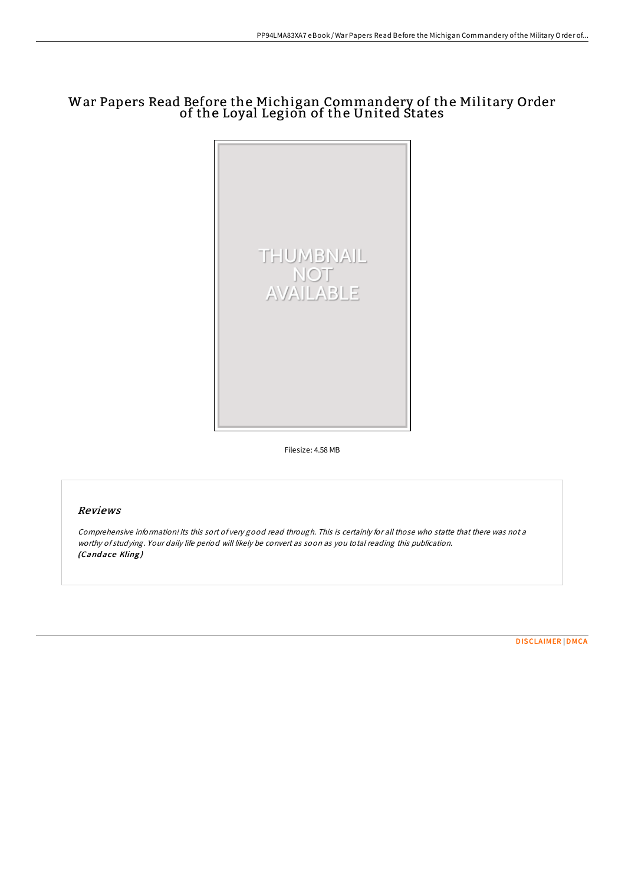# War Papers Read Before the Michigan Commandery of the Military Order of the Loyal Legion of the United States



Filesize: 4.58 MB

# Reviews

Comprehensive information! Its this sort of very good read through. This is certainly for all those who statte that there was not <sup>a</sup> worthy of studying. Your daily life period will likely be convert as soon as you total reading this publication. (Candace Kling)

[DISCLAIMER](http://almighty24.tech/disclaimer.html) | [DMCA](http://almighty24.tech/dmca.html)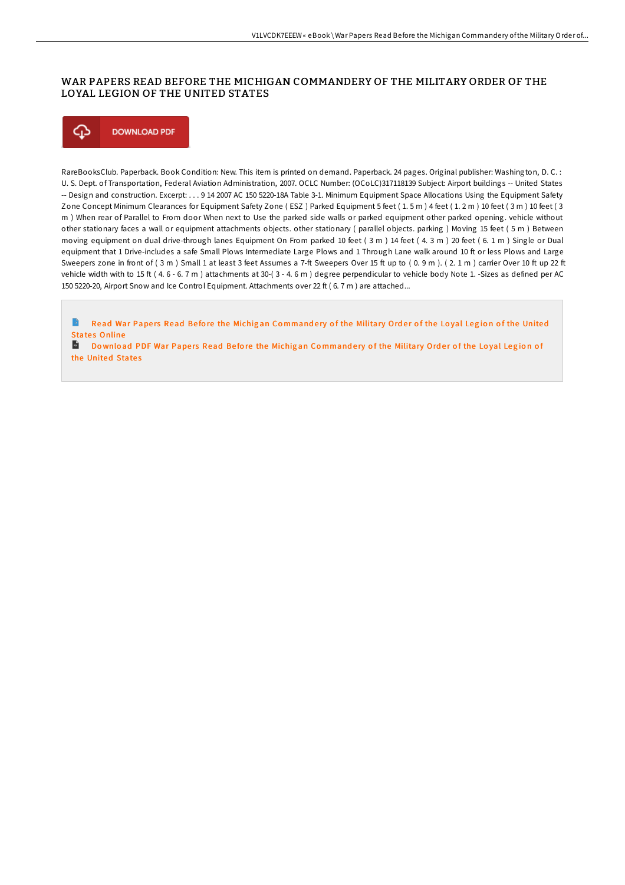## WAR PAPERS READ BEFORE THE MICHIGAN COMMANDERY OF THE MILITARY ORDER OF THE LOYAL LEGION OF THE UNITED STATES



RareBooksClub. Paperback. Book Condition: New. This item is printed on demand. Paperback. 24 pages. Original publisher: Washington, D. C. : U. S. Dept. of Transportation, Federal Aviation Administration, 2007. OCLC Number: (OCoLC)317118139 Subject: Airport buildings -- United States -- Design and construction. Excerpt: . . . 9 14 2007 AC 150 5220-18A Table 3-1. Minimum Equipment Space Allocations Using the Equipment Safety Zone Concept Minimum Clearances for Equipment Safety Zone ( ESZ ) Parked Equipment 5 feet ( 1. 5 m ) 4 feet ( 1. 2 m ) 10 feet ( 3 m ) 10 feet ( 3 m ) When rear of Parallel to From door When next to Use the parked side walls or parked equipment other parked opening. vehicle without other stationary faces a wall or equipment attachments objects. other stationary ( parallel objects. parking ) Moving 15 feet ( 5 m ) Between moving equipment on dual drive-through lanes Equipment On From parked 10 feet ( 3 m ) 14 feet ( 4. 3 m ) 20 feet ( 6. 1 m ) Single or Dual equipment that 1 Drive-includes a safe Small Plows Intermediate Large Plows and 1 Through Lane walk around 10 ft or less Plows and Large Sweepers zone in front of (3 m) Small 1 at least 3 feet Assumes a 7-ft Sweepers Over 15 ft up to (0.9 m). (2.1 m) carrier Over 10 ft up 22 ft vehicle width with to 15 ft (4.6 - 6.7 m) attachments at 30-(3 - 4.6 m) degree perpendicular to vehicle body Note 1. -Sizes as defined per AC 150 5220-20, Airport Snow and Ice Control Equipment. Attachments over 22 ft ( 6. 7 m ) are attached...

B Read War Papers Read Before the Michigan Co[mmand](http://almighty24.tech/war-papers-read-before-the-michigan-commandery-o.html)ery of the Military Order of the Loyal Legion of the United **States Online** 

**Do** Download PDF War Papers Read Before the Michigan Co[mmand](http://almighty24.tech/war-papers-read-before-the-michigan-commandery-o.html)ery of the Military Order of the Loyal Legion of the United States